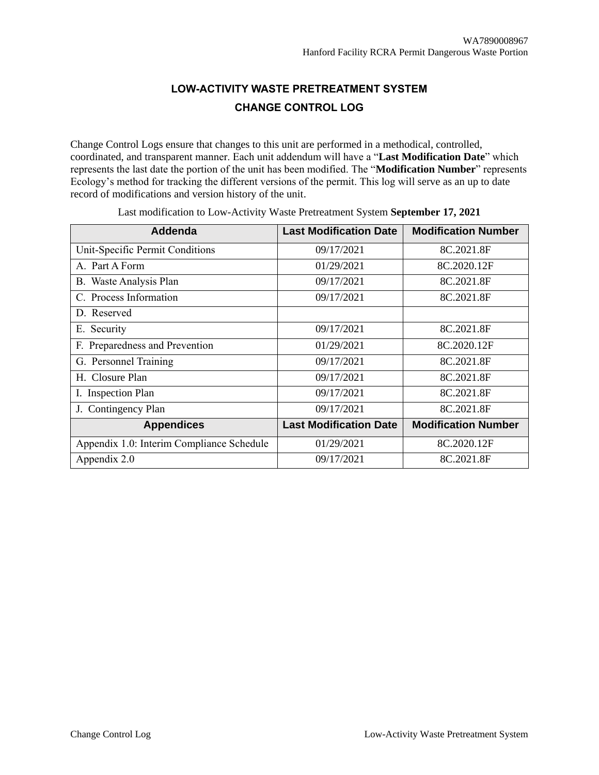## **LOW-ACTIVITY WASTE PRETREATMENT SYSTEM CHANGE CONTROL LOG**

Change Control Logs ensure that changes to this unit are performed in a methodical, controlled, coordinated, and transparent manner. Each unit addendum will have a "**Last Modification Date**" which represents the last date the portion of the unit has been modified. The "**Modification Number**" represents Ecology's method for tracking the different versions of the permit. This log will serve as an up to date record of modifications and version history of the unit.

| Addenda                                   | <b>Last Modification Date</b> | <b>Modification Number</b> |
|-------------------------------------------|-------------------------------|----------------------------|
| Unit-Specific Permit Conditions           | 09/17/2021                    | 8C.2021.8F                 |
| A. Part A Form                            | 01/29/2021                    | 8C.2020.12F                |
| B. Waste Analysis Plan                    | 09/17/2021                    | 8C.2021.8F                 |
| C. Process Information                    | 09/17/2021                    | 8C.2021.8F                 |
| D. Reserved                               |                               |                            |
| E. Security                               | 09/17/2021                    | 8C.2021.8F                 |
| F. Preparedness and Prevention            | 01/29/2021                    | 8C.2020.12F                |
| G. Personnel Training                     | 09/17/2021                    | 8C.2021.8F                 |
| H. Closure Plan                           | 09/17/2021                    | 8C.2021.8F                 |
| I. Inspection Plan                        | 09/17/2021                    | 8C.2021.8F                 |
| J. Contingency Plan                       | 09/17/2021                    | 8C.2021.8F                 |
| <b>Appendices</b>                         | <b>Last Modification Date</b> | <b>Modification Number</b> |
| Appendix 1.0: Interim Compliance Schedule | 01/29/2021                    | 8C.2020.12F                |
| Appendix 2.0                              | 09/17/2021                    | 8C.2021.8F                 |

Last modification to Low-Activity Waste Pretreatment System **September 17, 2021**